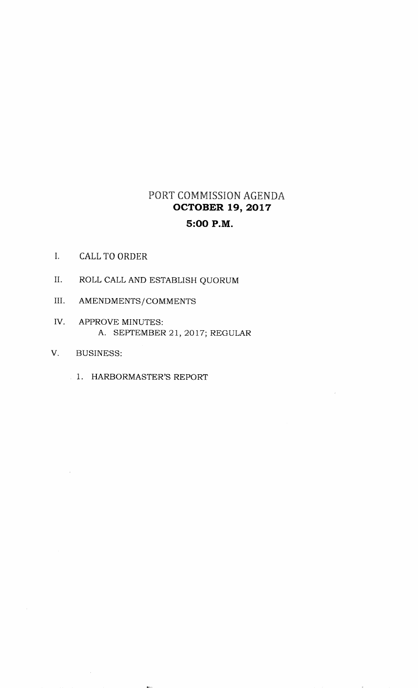## PORT COMMISSION AGENDAocToBER 19, 2OL75:OO P.M.

- I. CALL TO ORDER
- II. ROLL CALL AND ESTABLISH QUORUM
- III. AMENDMENTS/COMMENTS
- IV. APPROVE MINUTES: A. SEPTEMBER 21, 2017; REGULAR
- V. BUSINESS:

 $\mathcal{A}$ 

 $\bar{\gamma}$ 

1. HARBORMASTER'S REPORT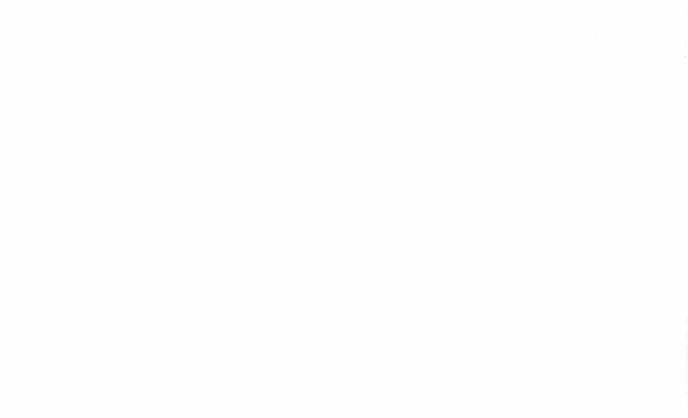$\sim$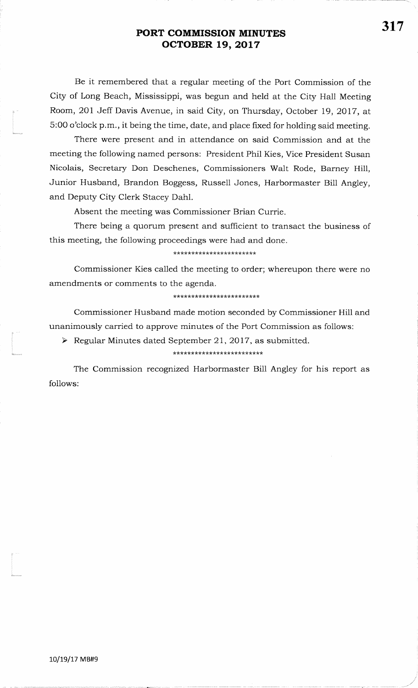Be it remembered that a regular meeting of the Port Commission of theCity of Long Beach, Mississippi, was begun and held at the City Hall MeetingRoom, 201 Jeff Davis Avenue, in said City, on Thursday, October 19, 2OI7, at5:00 o'clock p.m., it being the time, date, and place fixed for holding said meeting.

There were present and in attendance on said Commission and at themeeting the following named persons: President Phil Kies, Vice President SusanNicolais, Secretary Don Deschenes, Commissioners Walt Rode, Barney Hill,Junior Husband, Brandon Boggess, Russell Jones, Harbormaster Bill Angley,and Deputy City Clerk Stacey Dahl.

Absent the meeting was Commissioner Brian Currie.

There being a quorum present and sufficient to transact the business ofthis meeting, the following proceedings were had and done.

\*\*\*\*\*\*\*\*\*\*\*\*\*\*\*\*\*\*\*\*\*

Commissioner Kies called the meeting to order; whereupon there were noamendments or comments to the agenda.

\*\*\*\*\*\*\*\*\*\*\*\*\*\*\*\*\*\*\*\*\*\*\*

Commissioner Husband made motion seconded by Commissioner Hill andunanimously carried to approve minutes of the Port Commission as follows:

> Regular Minutes dated September 21, 2017, as submitted.

\*\*\*\*\*\*\*\*\*\*\*\*\*\*\*\*\*\*\*\*\*\*\*\*\*

The Commission recognized Harbormaster Bill Angley for his report as follows: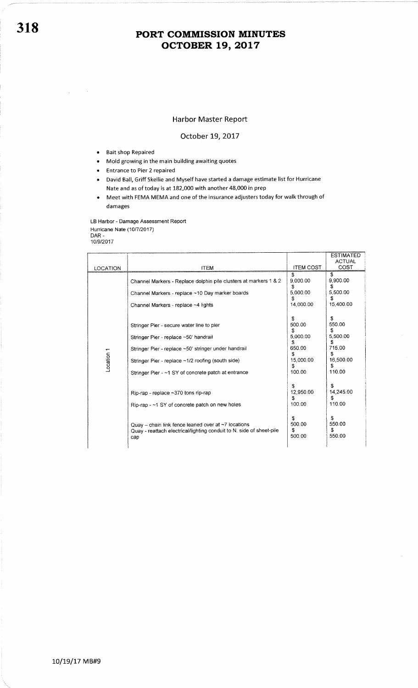#### Harbor Master Report

#### October 19, 2017

- Bait shop Repaired
- Mold growing in the main building awaiting quotes
- . Entrance to Pier 2 repaired
- o David Ball, Griff Skellie and Myself have started a damage estimate list for Hurricane Nate and as of today is at 182,000 with another 48,000 in prep
- . Meet with FEMA MEMA and one of the insurance adjusters today for walk through of damages

LB Harbor - Damage Assessment Report Hurricane Nate (10/7/2017) DAR -

10/9/2017

|                 |                                                                      |                  | <b>ESTIMATED</b> |
|-----------------|----------------------------------------------------------------------|------------------|------------------|
|                 |                                                                      |                  | <b>ACTUAL</b>    |
| <b>LOCATION</b> | <b>ITEM</b>                                                          | <b>ITEM COST</b> | COST             |
|                 |                                                                      | \$               | S                |
|                 | Channel Markers - Replace dolphin pile clusters at markers 1 & 2     | 9.000.00         | 9,900.00         |
|                 |                                                                      | \$               | S                |
|                 | Channel Markers - replace ~10 Day marker boards                      | 5,000.00         | 5,500.00         |
|                 |                                                                      |                  |                  |
|                 | Channel Markers - replace ~4 lights                                  | 14,000.00        | 15.400.00        |
|                 |                                                                      |                  |                  |
|                 |                                                                      | \$               | \$               |
|                 |                                                                      | 500.00           | 550.00           |
|                 | Stringer Pier - secure water line to pier                            | S                | \$               |
|                 | Stringer Pier - replace ~50' handrail                                | 5.000.00         | 5,500.00         |
|                 |                                                                      | S                | £                |
|                 | Stringer Pier - replace ~50' stringer under handrail                 | 650.00           | 715.00           |
|                 |                                                                      |                  | S                |
| Location 1      | Stringer Pier - replace $\sim$ 1/2 roofing (south side)              | 15,000.00        | 16,500.00        |
|                 |                                                                      | S                | \$.              |
|                 | Stringer Pier - ~1 SY of concrete patch at entrance                  | 100.00           | 110.00           |
|                 |                                                                      |                  |                  |
|                 |                                                                      | S.               | S                |
|                 | Rip-rap - replace ~370 tons rip-rap                                  | 12,950.00        | 14,245.00        |
|                 |                                                                      | \$               | S                |
|                 | Rip-rap - ~1 SY of concrete patch on new holes                       | 100.00           | 110.00           |
|                 |                                                                      |                  |                  |
|                 |                                                                      |                  | s.               |
|                 |                                                                      | £.<br>500.00     | 550.00           |
|                 | Quay – chain link fence leaned over at $\sim$ 7 locations            | \$               | S                |
|                 | Quay - reattach electrical/lighting conduit to N. side of sheet-pile | 500.00           | 550.00           |
|                 | cap                                                                  |                  |                  |
|                 |                                                                      |                  |                  |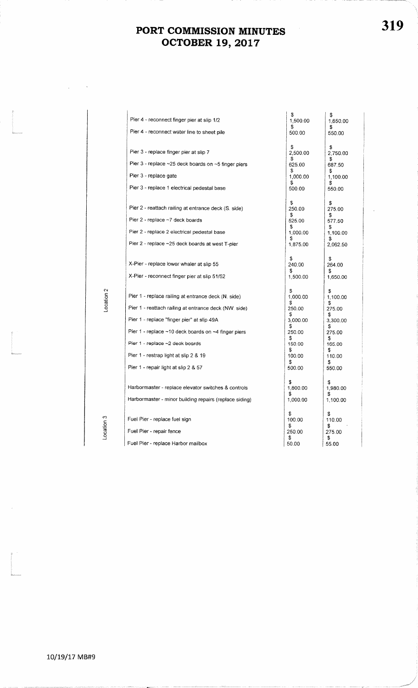| Pier 4 - reconnect finger pier at slip 1/2             | \$<br>1,500.00 | 1,650.00       |
|--------------------------------------------------------|----------------|----------------|
| Pier 4 - reconnect water line to sheet pile            | 500.00         | \$<br>550.00   |
|                                                        |                | \$             |
| Pier 3 - replace finger pier at slip 7                 | 2,500.00       | 2,750.00<br>\$ |
| Pier 3 - replace ~25 deck boards on ~5 finger piers    | 625.00<br>S    | 687.50         |
| Pier 3 - replace gate                                  | 1,000.00       | 1,100.00       |
| Pier 3 - replace 1 electrical pedestal base            | S<br>500.00    | S<br>550.00    |
|                                                        | \$             | \$             |
| Pier 2 - reattach railing at entrance deck (S. side)   | 250.00<br>S    | 275.00         |
| Pier 2 - replace ~7 deck boards                        | 525.00         | 577.50<br>\$   |
| Pier 2 - replace 2 electrical pedestal base            | 1,000.00       | 1,100.00<br>\$ |
| Pier 2 - replace ~25 deck boards at west T-pier        | 1,875.00       | 2,062.50       |
| X-Pier - replace lower whaler at slip 55               | \$<br>240.00   | \$<br>264.00   |
|                                                        | S              | S              |
| X-Pier - reconnect finger pier at slip 51/52           | 1,500.00       | 1,650.00       |
| Pier 1 - replace railing at entrance deck (N, side)    | \$<br>1,000.00 | \$<br>1,100.00 |
| Pier 1 - reattach railing at entrance deck (NW. side)  | S<br>250.00    | \$<br>275.00   |
| Pier 1 - replace "finger pier" at slip 49A             | 35<br>3,000.00 | S<br>3,300.00  |
| Pier 1 - replace ~10 deck boards on ~4 finger piers    |                | S              |
|                                                        | 250.00         | 275.00<br>S    |
| Pier 1 - replace ~2 deck boards                        | 150.00<br>\$   | 165.00<br>F    |
| Pier 1 - restrap light at slip 2 & 19                  | 100.00<br>S    | 110.00<br>S    |
| Pier 1 - repair light at slip 2 & 57                   | 500.00         | 550.00         |
|                                                        |                | \$             |
| Harbormaster - replace elevator switches & controls    | 1,800.00       | 1,980.00       |
| Harbormaster - minor building repairs (replace siding) | 1,000.00       | 1,100.00       |
| Fuel Pier - replace fuel sign                          | 100.00         | £.<br>110.00   |
| Fuel Pier - repair fence                               | ж<br>250.00    | S<br>275.00    |
| Fuel Pier - replace Harbor mailbox                     | 50.00          | 5              |
|                                                        |                | 55.00          |

Location 2

 $\ddot{\phantom{a}}$ 

Location 3

 $319$ 

tt\_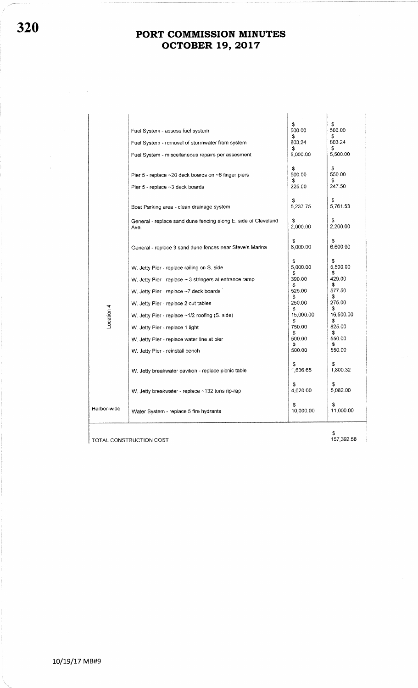# 320 **PORT COMMISSION MINUTES** ocToBER 19, 2OL7

|             |                                                                                                    | \$                     | \$                           |
|-------------|----------------------------------------------------------------------------------------------------|------------------------|------------------------------|
|             | Fuel System - assess fuel system                                                                   | 500.00                 | 500.00<br>\$                 |
|             | Fuel System - removal of stormwater from system                                                    | 803.24                 | 803.24                       |
|             | Fuel System - miscellaneous repairs per assesment                                                  | S<br>5,000.00          | \$<br>5,500.00               |
|             | Pier 5 - replace $\sim$ 20 deck boards on $\sim$ 6 finger piers<br>Pier 5 - replace ~3 deck boards | \$<br>500.00<br>225.00 | \$<br>550.00<br>\$<br>247.50 |
|             | Boat Parking area - clean drainage system                                                          | 5.237.75               | 5,761.53                     |
|             | General - replace sand dune fencing along E. side of Cleveland<br>Ave.                             | 2,000.00               | \$<br>2,200.00               |
|             | General - replace 3 sand dune fences near Steve's Marina                                           | 6,000.00               | S<br>6,600.00                |
|             | W. Jetty Pier - replace railing on S. side                                                         | S<br>5,000.00          | S<br>5,500.00                |
|             | W. Jetty Pier - replace $\sim$ 3 stringers at entrance ramp                                        | 390.00                 | 429.00<br>\$                 |
|             | W. Jetty Pier - replace ~7 deck boards                                                             | 525.00                 | 577.50                       |
|             | W. Jetty Pier - replace 2 cut tables                                                               | 250.00                 | 275.00<br>S                  |
| Location 4  | W. Jetty Pier - replace ~1/2 roofing (S. side)                                                     | 15,000.00              | 16,500.00                    |
|             | W. Jetty Pier - replace 1 light                                                                    | 750.00                 | S<br>825.00                  |
|             | W. Jetty Pier - replace water line at pier                                                         | 500.00                 | 550.00                       |
|             | W. Jetty Pier - reinstall bench                                                                    | 500.00                 | æ<br>550.00                  |
|             | W. Jetty breakwater pavilion - replace picnic table                                                | 1,636.65               | 1,800.32                     |
|             | W. Jetty breakwater - replace $\sim$ 132 tons rip-rap                                              | 4,620.00               | 5,082.00                     |
| Harbor-wide | Water System - replace 5 fire hydrants                                                             | 10,000.00              | 11,000.00                    |
|             |                                                                                                    |                        |                              |

TOTAL CONSTRUCTION COST

\$ 157,352.58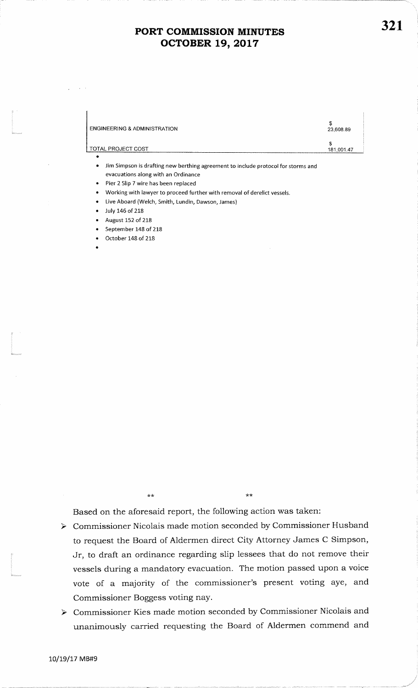| ENGINEERING & ADMINISTRATION                                                           | S<br>23,608.89<br>\$ |
|----------------------------------------------------------------------------------------|----------------------|
| TOTAL PROJECT COST                                                                     | 181,001.47           |
|                                                                                        |                      |
| Jim Simpson is drafting new berthing agreement to include protocol for storms and<br>۰ |                      |
| evacuations along with an Ordinance                                                    |                      |
| Pier 2 Slip 7 wire has been replaced<br>۰                                              |                      |
| Working with lawyer to proceed further with removal of derelict vessels.               |                      |

- Live Aboard (Welch, Smith, Lundin, Dawson, James)
- July 146 of 218
- $\blacksquare$  August 152 of 218
- **September 148 of 218**
- October 148 of 218

a

t-

t<br>executiva

i\_

\*\*

\*\*

Based on the aforesaid report, the following action was taken:

- > Commissioner Nicolais made motion seconded by Commissioner Husband to request the Board of Aldermen direct City Attorney James C Simpson, Jr, to draft an ordinance regarding slip lessees that do not remove theirvessels during a mandatory evacuation. The motion passed upon a voicevote of a majority of the commissioner's present voting aye, and Commissioner Boggess voting naY.
- > Commissioner Kies made motion seconded by Commissioner Nicolais and unanimously carried requesting the Board of Aldermen commend and